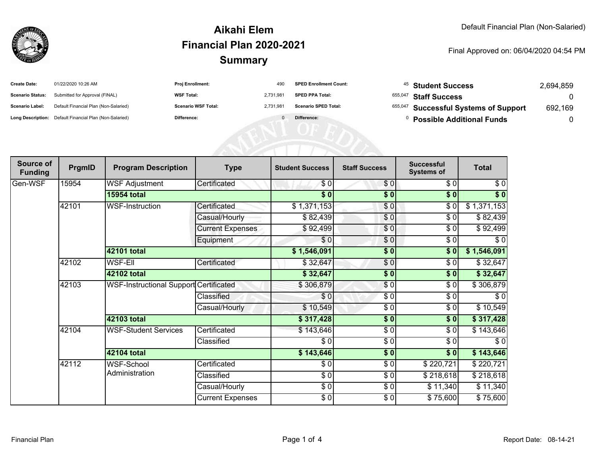

#### **SummaryAikahi ElemFinancial Plan 2020-2021**

#### Final Approved on: 06/04/2020 04:54 PM

| <b>Create Date:</b>     | 01/22/2020 10:26 AM                                     | <b>Proj Enrollment:</b>    | 490      | <b>SPED Enrollment Count:</b> | <sup>45</sup> Student Success         | 2,694,859 |
|-------------------------|---------------------------------------------------------|----------------------------|----------|-------------------------------|---------------------------------------|-----------|
| <b>Scenario Status:</b> | Submitted for Approval (FINAL)                          | <b>WSF Total:</b>          | 2,731,98 | <b>SPED PPA Total:</b>        | 655,047 Staff Success                 |           |
| <b>Scenario Label:</b>  | Default Financial Plan (Non-Salaried)                   | <b>Scenario WSF Total:</b> | 2,731,98 | <b>Scenario SPED Total:</b>   | 655,047 Successful Systems of Support | 692,169   |
|                         | Long Description: Default Financial Plan (Non-Salaried) | Difference:                |          | Difference:                   | <b>Possible Additional Funds</b>      |           |
|                         |                                                         |                            |          |                               |                                       |           |
|                         |                                                         |                            |          |                               |                                       |           |
|                         |                                                         |                            |          |                               |                                       |           |

| Source of<br><b>Funding</b> | PrgmID | <b>Program Description</b>             | <b>Type</b>             | <b>Student Success</b> | <b>Staff Success</b> | <b>Successful</b><br><b>Systems of</b> | <b>Total</b>      |
|-----------------------------|--------|----------------------------------------|-------------------------|------------------------|----------------------|----------------------------------------|-------------------|
| Gen-WSF                     | 15954  | <b>WSF Adjustment</b>                  | Certificated            | \$0                    | \$0                  | \$0                                    | \$0               |
|                             |        | <b>15954 total</b>                     |                         | $\sqrt{5}$             | $\overline{\bullet}$ | $\overline{\bullet}$                   | $\overline{\$}$ 0 |
|                             | 42101  | <b>WSF-Instruction</b>                 | Certificated            | \$1,371,153            | $\frac{1}{\sqrt{2}}$ | $\sqrt{6}$                             | \$1,371,153       |
|                             |        |                                        | Casual/Hourly           | \$82,439               | \$0                  | \$0                                    | \$82,439          |
|                             |        |                                        | <b>Current Expenses</b> | \$92,499               | \$0                  | \$0                                    | \$92,499          |
|                             |        |                                        | Equipment               | \$0                    | \$0                  | \$0                                    | \$0               |
|                             |        | 42101 total                            |                         | \$1,546,091            | \$0                  | \$0]                                   | \$1,546,091       |
|                             | 42102  | <b>WSF-EII</b>                         | Certificated            | \$32,647               | $\sqrt{6}$           | \$0                                    | \$32,647          |
|                             |        | 42102 total                            |                         | \$32,647               | $\frac{1}{6}$        | \$0                                    | \$32,647          |
|                             | 42103  | WSF-Instructional Support Certificated |                         | \$306,879              | \$0                  | \$0                                    | \$306,879         |
|                             |        |                                        | Classified              | \$0                    | \$0                  | \$0                                    | \$0               |
|                             |        |                                        | Casual/Hourly           | \$10,549               | \$0                  | \$0                                    | \$10,549          |
|                             |        | 42103 total                            |                         | \$317,428              | $\frac{1}{2}$        | \$0                                    | \$317,428         |
|                             | 42104  | <b>WSF-Student Services</b>            | Certificated            | \$143,646              | $\frac{1}{\epsilon}$ | \$0                                    | \$143,646         |
|                             |        |                                        | Classified              | \$0                    | \$0                  | \$0                                    | \$0               |
|                             |        | 42104 total                            |                         | \$143,646              | $\frac{1}{2}$        | \$0                                    | \$143,646         |
|                             | 42112  | <b>WSF-School</b><br>Administration    | Certificated            | \$0                    | \$0                  | \$220,721                              | \$220,721         |
|                             |        |                                        | Classified              | $\frac{6}{6}$          | \$0                  | \$218,618                              | \$218,618         |
|                             |        |                                        | Casual/Hourly           | $\frac{6}{3}$          | $\frac{3}{6}$        | \$11,340                               | \$11,340          |
|                             |        |                                        | <b>Current Expenses</b> | $\frac{6}{6}$          | \$0                  | \$75,600                               | \$75,600          |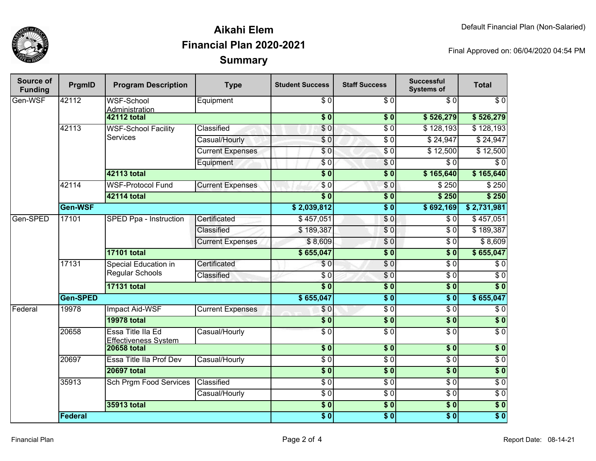

## **SummaryAikahi ElemFinancial Plan 2020-2021**

Final Approved on: 06/04/2020 04:54 PM

| <b>Source of</b><br><b>Funding</b> | PrgmID             | <b>Program Description</b>                        | <b>Type</b>             | <b>Student Success</b>         | <b>Staff Success</b>        | <b>Successful</b><br><b>Systems of</b> | <b>Total</b>     |
|------------------------------------|--------------------|---------------------------------------------------|-------------------------|--------------------------------|-----------------------------|----------------------------------------|------------------|
| Gen-WSF                            | 42112              | <b>WSF-School</b><br>Administration               | Equipment               | $\sqrt{6}$<br>$\overline{\$0}$ | $\overline{S}$ <sub>0</sub> | $\sqrt{6}$                             | $\overline{\$0}$ |
|                                    |                    | <b>42112 total</b>                                |                         |                                | s <sub>0</sub>              | \$526,279                              | \$526,279        |
|                                    | 42113              | <b>WSF-School Facility</b><br><b>Services</b>     | Classified              | \$0                            | $\overline{\$0}$            | \$128,193                              | \$128,193        |
|                                    |                    |                                                   | Casual/Hourly           | $\overline{\$0}$               | $\overline{\$0}$            | \$24,947                               | \$24,947         |
|                                    |                    |                                                   | <b>Current Expenses</b> | $\overline{\$0}$               | $\overline{\$0}$            | \$12,500                               | \$12,500         |
|                                    |                    |                                                   | Equipment               | \$0                            | $\overline{\$0}$            | $\overline{\$0}$                       | $\overline{\$0}$ |
|                                    |                    | <b>42113 total</b>                                |                         | $\overline{\$0}$               | $\frac{1}{2}$               | \$165,640                              | \$165,640        |
|                                    | 42114              | <b>WSF-Protocol Fund</b>                          | <b>Current Expenses</b> | $\overline{\$0}$               | \$0                         | \$250                                  | \$250            |
|                                    |                    | <b>42114 total</b>                                |                         | $\overline{\bullet}$           | $\frac{1}{2}$               | \$250                                  | \$250            |
|                                    | Gen-WSF            |                                                   |                         | \$2,039,812                    | s <sub>0</sub>              | \$692,169                              | \$2,731,981      |
| Gen-SPED                           | 17101              | SPED Ppa - Instruction                            | Certificated            | \$457,051                      | \$0                         | \$0                                    | \$457,051        |
|                                    |                    |                                                   | Classified              | \$189,387                      | \$0                         | \$0                                    | \$189,387        |
|                                    |                    |                                                   | <b>Current Expenses</b> | \$8,609                        | $\sqrt{6}$                  | $\overline{\$0}$                       | \$8,609          |
|                                    |                    | <b>17101 total</b>                                |                         | \$655,047                      | $\overline{\$0}$            | $\overline{\$0}$                       | \$655,047        |
|                                    | 17131              | Special Education in<br><b>Regular Schools</b>    | Certificated            | $\overline{\$0}$               | $\overline{S}0$             | $\overline{\$0}$                       | $\overline{\$0}$ |
|                                    |                    |                                                   | Classified              | $\overline{\$0}$               | $\frac{1}{6}$               | $\overline{\$0}$                       | $\overline{\$0}$ |
|                                    |                    | <b>17131 total</b>                                |                         |                                | $\frac{1}{2}$               | $\overline{\$0}$                       | $\overline{\$0}$ |
|                                    | Gen-SPED           |                                                   |                         | \$655,047                      | s <sub>0</sub>              | $\overline{\$0}$                       | \$655,047        |
| Federal                            | 19978              | <b>Impact Aid-WSF</b>                             | <b>Current Expenses</b> | \$0                            | $\sqrt{6}$                  | $\overline{\$0}$                       | $\overline{\$0}$ |
|                                    |                    | <b>19978 total</b>                                |                         | $\overline{\$}0$               | \$0                         | $\overline{\$0}$                       | $\overline{\$0}$ |
|                                    | 20658              | Essa Title IIa Ed                                 | Casual/Hourly           | $\overline{30}$                | $\overline{\$0}$            | $\overline{\$0}$                       | $\overline{\$0}$ |
|                                    |                    | <b>Effectiveness System</b><br><b>20658 total</b> |                         | $\overline{\$}0$               | \$0                         | $\overline{\$0}$                       | \$0              |
|                                    | 20697              | <b>Essa Title Ila Prof Dev</b>                    | Casual/Hourly           | $\overline{\$0}$               | $\overline{50}$             | $\sqrt{6}$                             | $\overline{\$0}$ |
|                                    | <b>20697 total</b> |                                                   |                         | $\overline{\$}0$               | \$0                         | \$0                                    | $\overline{\$0}$ |
|                                    | 35913              | Sch Prgm Food Services                            | Classified              | $\overline{\$0}$               | $\overline{S}0$             | $\sqrt{6}$                             | $\overline{\$0}$ |
|                                    |                    |                                                   |                         | $\sqrt{6}$                     | \$0                         | $\sqrt{6}$                             | $\sqrt{6}$       |
|                                    |                    |                                                   | Casual/Hourly           |                                |                             |                                        |                  |
|                                    |                    | 35913 total                                       |                         | $\overline{\$0}$               | $\overline{\bullet}$        | $\overline{\$0}$                       | \$0              |
|                                    | Federal            |                                                   |                         | $\overline{\$0}$               | \$0                         | \$0                                    | $\overline{\$0}$ |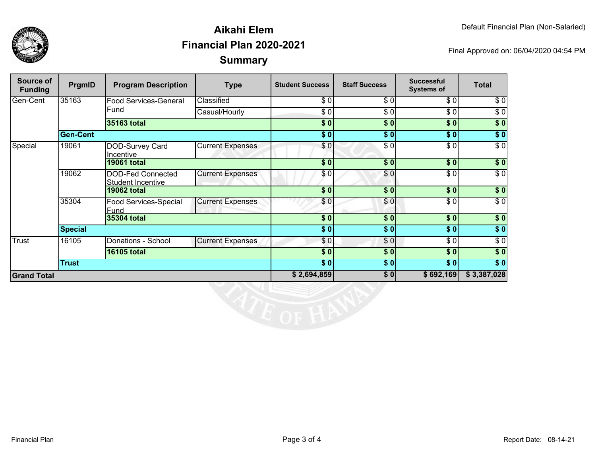

## **SummaryAikahi ElemFinancial Plan 2020-2021**

Final Approved on: 06/04/2020 04:54 PM

| Source of<br><b>Funding</b> | PrgmID             | <b>Program Description</b>                           | <b>Type</b>             | <b>Student Success</b> | <b>Staff Success</b> | <b>Successful</b><br><b>Systems of</b> | <b>Total</b>     |
|-----------------------------|--------------------|------------------------------------------------------|-------------------------|------------------------|----------------------|----------------------------------------|------------------|
| Gen-Cent                    | 35163              | <b>Food Services-General</b><br>Fund                 | Classified              | \$0                    | \$0                  | \$0                                    | \$0              |
|                             |                    |                                                      | Casual/Hourly           | \$0                    | \$0                  | \$0                                    | $\sqrt{6}$       |
|                             |                    | 35163 total                                          |                         | \$0                    | \$0                  | $\overline{\$0}$                       | $\sqrt{50}$      |
|                             | <b>Gen-Cent</b>    |                                                      |                         | \$0]                   | \$0]                 | \$0                                    | $\sqrt{50}$      |
| Special                     | 19061              | DOD-Survey Card<br>Incentive                         | <b>Current Expenses</b> | \$0                    | \$0                  | \$0                                    | $\overline{\$0}$ |
|                             |                    | <b>19061 total</b>                                   |                         | $\sqrt{5}$             | \$0                  | \$0                                    | $\sqrt{ }$       |
|                             | 19062              | <b>DOD-Fed Connected</b><br><b>Student Incentive</b> | <b>Current Expenses</b> | \$0                    | \$0                  | \$0                                    | $\overline{\$0}$ |
|                             |                    | <b>19062 total</b>                                   |                         | \$0                    | \$0                  | \$0                                    | $\sqrt{6}$       |
|                             | 35304              | <b>Food Services-Special</b><br>Fund                 | <b>Current Expenses</b> | \$0                    | \$0                  | \$0                                    | $\sqrt{6}$       |
|                             |                    | 35304 total                                          |                         | \$0                    | \$0                  | \$0                                    | $\overline{\$}0$ |
|                             | <b>Special</b>     |                                                      |                         | \$0]                   | \$0]                 | \$0                                    | $\sqrt{50}$      |
| Trust                       | 16105              | Donations - School                                   | <b>Current Expenses</b> | \$0]                   | \$0]                 | \$ O                                   | $\sqrt{6}$       |
|                             | <b>16105 total</b> |                                                      | \$0                     | \$0]                   | \$0                  | $\sqrt{50}$                            |                  |
|                             | <b>Trust</b>       |                                                      |                         | \$0]                   | \$0                  | \$0                                    | $\overline{\$}0$ |
| <b>Grand Total</b>          |                    |                                                      | \$2,694,859             | \$0]                   | \$692,169            | \$3,387,028                            |                  |